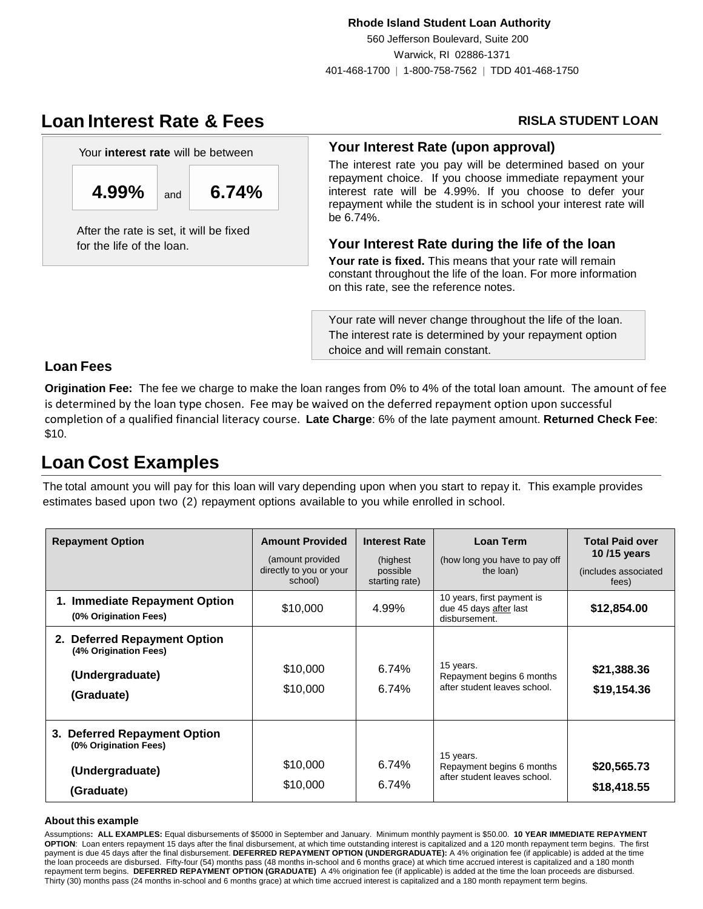### **Rhode Island Student Loan Authority**

560 Jefferson Boulevard, Suite 200 Warwick, RI 02886-1371 401-468-1700 | 1-800-758-7562 | TDD 401-468-1750

# **Loan Interest Rate & Fees**



 **4.99%** and **6.74%**

After the rate is set, it will be fixed for the life of the loan.

## **RISLA STUDENT LOAN**

### **Your Interest Rate (upon approval)**

The interest rate you pay will be determined based on your repayment choice. If you choose immediate repayment your interest rate will be 4.99%. If you choose to defer your repayment while the student is in school your interest rate will be 6.74%.

## **Your Interest Rate during the life of the loan**

**Your rate is fixed.** This means that your rate will remain constant throughout the life of the loan. For more information on this rate, see the reference notes.

Your rate will never change throughout the life of the loan. The interest rate is determined by your repayment option choice and will remain constant.

## **Loan Fees**

**Origination Fee:** The fee we charge to make the loan ranges from 0% to 4% of the total loan amount. The amount of fee is determined by the loan type chosen. Fee may be waived on the deferred repayment option upon successful completion of a qualified financial literacy course. **Late Charge**: 6% of the late payment amount. **Returned Check Fee**: \$10.

# **Loan Cost Examples**

The total amount you will pay for this loan will vary depending upon when you start to repay it. This example provides estimates based upon two (2) repayment options available to you while enrolled in school.

| <b>Repayment Option</b>                                                                | <b>Amount Provided</b><br>(amount provided)<br>directly to you or your<br>school) | <b>Interest Rate</b><br>(highest)<br>possible<br>starting rate) | Loan Term<br>(how long you have to pay off<br>the loan)                | <b>Total Paid over</b><br>10/15 years<br>(includes associated)<br>fees) |
|----------------------------------------------------------------------------------------|-----------------------------------------------------------------------------------|-----------------------------------------------------------------|------------------------------------------------------------------------|-------------------------------------------------------------------------|
| 1. Immediate Repayment Option<br>(0% Origination Fees)                                 | \$10,000                                                                          | 4.99%                                                           | 10 years, first payment is<br>due 45 days after last<br>disbursement.  | \$12,854.00                                                             |
| 2. Deferred Repayment Option<br>(4% Origination Fees)<br>(Undergraduate)<br>(Graduate) | \$10,000<br>\$10,000                                                              | 6.74%<br>6.74%                                                  | 15 years.<br>Repayment begins 6 months<br>after student leaves school. | \$21,388.36<br>\$19,154.36                                              |
| 3. Deferred Repayment Option<br>(0% Origination Fees)<br>(Undergraduate)<br>(Graduate) | \$10,000<br>\$10,000                                                              | 6.74%<br>6.74%                                                  | 15 years.<br>Repayment begins 6 months<br>after student leaves school. | \$20,565.73<br>\$18,418.55                                              |

### **About this example**

Assumptions**: ALL EXAMPLES:** Equal disbursements of \$5000 in September and January. Minimum monthly payment is \$50.00. **10 YEAR IMMEDIATE REPAYMENT OPTION**: Loan enters repayment 15 days after the final disbursement, at which time outstanding interest is capitalized and a 120 month repayment term begins. The first payment is due 45 days after the final disbursement. **DEFERRED REPAYMENT OPTION (UNDERGRADUATE):** A 4% origination fee (if applicable) is added at the time the loan proceeds are disbursed. Fifty-four (54) months pass (48 months in-school and 6 months grace) at which time accrued interest is capitalized and a 180 month repayment term begins. **DEFERRED REPAYMENT OPTION (GRADUATE)** A 4% origination fee (if applicable) is added at the time the loan proceeds are disbursed. Thirty (30) months pass (24 months in-school and 6 months grace) at which time accrued interest is capitalized and a 180 month repayment term begins.